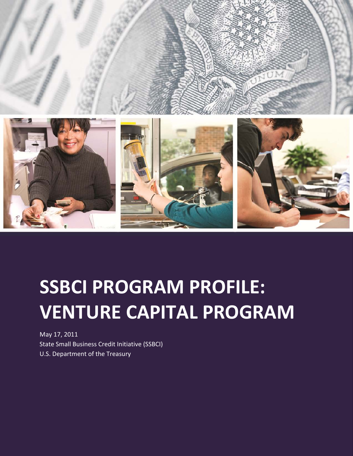

# SSBCI PROGRAM PROFILE: VENTURE CAPITAL PROGRAM

May 17, 2011 State Small Business Credit Initiative (SSBCI) U.S. Department of the Treasury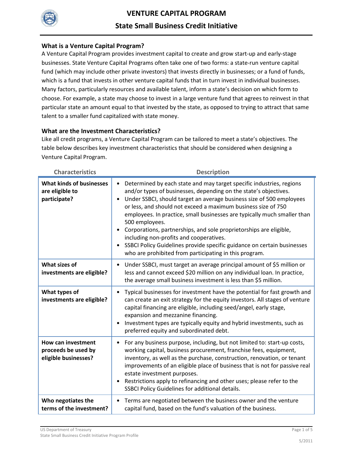

#### What is a Venture Capital Program?

A Venture Capital Program provides investment capital to create and grow start-up and early-stage businesses. State Venture Capital Programs often take one of two forms: a state-run venture capital fund (which may include other private investors) that invests directly in businesses; or a fund of funds, which is a fund that invests in other venture capital funds that in turn invest in individual businesses. Many factors, particularly resources and available talent, inform a state's decision on which form to choose. For example, a state may choose to invest in a large venture fund that agrees to reinvest in that particular state an amount equal to that invested by the state, as opposed to trying to attract that same talent to a smaller fund capitalized with state money.

#### What are the Investment Characteristics?

Like all credit programs, a Venture Capital Program can be tailored to meet a state's objectives. The table below describes key investment characteristics that should be considered when designing a Venture Capital Program.

| <b>Characteristics</b>                                                   | <b>Description</b>                                                                                                                                                                                                                                                                                                                                                                                                                                                                                                                                                                                                                                                           |  |
|--------------------------------------------------------------------------|------------------------------------------------------------------------------------------------------------------------------------------------------------------------------------------------------------------------------------------------------------------------------------------------------------------------------------------------------------------------------------------------------------------------------------------------------------------------------------------------------------------------------------------------------------------------------------------------------------------------------------------------------------------------------|--|
| <b>What kinds of businesses</b><br>are eligible to<br>participate?       | Determined by each state and may target specific industries, regions<br>$\bullet$<br>and/or types of businesses, depending on the state's objectives.<br>Under SSBCI, should target an average business size of 500 employees<br>$\bullet$<br>or less, and should not exceed a maximum business size of 750<br>employees. In practice, small businesses are typically much smaller than<br>500 employees.<br>Corporations, partnerships, and sole proprietorships are eligible,<br>$\bullet$<br>including non-profits and cooperatives.<br>SSBCI Policy Guidelines provide specific guidance on certain businesses<br>who are prohibited from participating in this program. |  |
| What sizes of<br>investments are eligible?                               | Under SSBCI, must target an average principal amount of \$5 million or<br>$\bullet$<br>less and cannot exceed \$20 million on any individual loan. In practice,<br>the average small business investment is less than \$5 million.                                                                                                                                                                                                                                                                                                                                                                                                                                           |  |
| What types of<br>investments are eligible?                               | Typical businesses for investment have the potential for fast growth and<br>$\bullet$<br>can create an exit strategy for the equity investors. All stages of venture<br>capital financing are eligible, including seed/angel, early stage,<br>expansion and mezzanine financing.<br>Investment types are typically equity and hybrid investments, such as<br>preferred equity and subordinated debt.                                                                                                                                                                                                                                                                         |  |
| <b>How can investment</b><br>proceeds be used by<br>eligible businesses? | For any business purpose, including, but not limited to: start-up costs,<br>٠<br>working capital, business procurement, franchise fees, equipment,<br>inventory, as well as the purchase, construction, renovation, or tenant<br>improvements of an eligible place of business that is not for passive real<br>estate investment purposes.<br>Restrictions apply to refinancing and other uses; please refer to the<br>SSBCI Policy Guidelines for additional details.                                                                                                                                                                                                       |  |
| Who negotiates the<br>terms of the investment?                           | Terms are negotiated between the business owner and the venture<br>$\bullet$<br>capital fund, based on the fund's valuation of the business.                                                                                                                                                                                                                                                                                                                                                                                                                                                                                                                                 |  |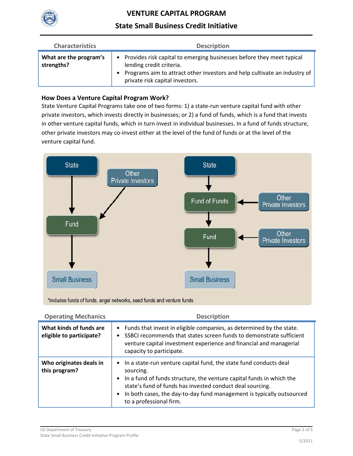

# VENTURE CAPITAL PROGRAM

# State Small Business Credit Initiative

| <b>Characteristics</b>               | <b>Description</b>                                                                                                                                                                                                    |  |  |
|--------------------------------------|-----------------------------------------------------------------------------------------------------------------------------------------------------------------------------------------------------------------------|--|--|
| What are the program's<br>strengths? | • Provides risk capital to emerging businesses before they meet typical<br>lending credit criteria.<br>• Programs aim to attract other investors and help cultivate an industry of<br>private risk capital investors. |  |  |

### How Does a Venture Capital Program Work?

State Venture Capital Programs take one of two forms: 1) a state-run venture capital fund with other private investors, which invests directly in businesses; or 2) a fund of funds, which is a fund that invests in other venture capital funds, which in turn invest in individual businesses. In a fund of funds structure, other private investors may co-invest either at the level of the fund of funds or at the level of the venture capital fund.



\*Includes funds of funds, angel networks, seed funds and venture funds

| <b>Operating Mechanics</b>                          | <b>Description</b>                                                                                                                                                                                                                                                                                                                       |  |
|-----------------------------------------------------|------------------------------------------------------------------------------------------------------------------------------------------------------------------------------------------------------------------------------------------------------------------------------------------------------------------------------------------|--|
| What kinds of funds are<br>eligible to participate? | Funds that invest in eligible companies, as determined by the state.<br>$\bullet$<br>SSBCI recommends that states screen funds to demonstrate sufficient<br>$\bullet$<br>venture capital investment experience and financial and managerial<br>capacity to participate.                                                                  |  |
| Who originates deals in<br>this program?            | • In a state-run venture capital fund, the state fund conducts deal<br>sourcing.<br>• In a fund of funds structure, the venture capital funds in which the<br>state's fund of funds has invested conduct deal sourcing.<br>In both cases, the day-to-day fund management is typically outsourced<br>$\bullet$<br>to a professional firm. |  |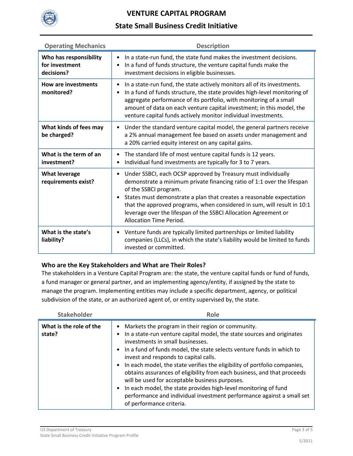

# VENTURE CAPITAL PROGRAM

# State Small Business Credit Initiative

| <b>Operating Mechanics</b>                             | <b>Description</b>                                                                                                                                                                                                                                                                                                                                                                                                                    |  |
|--------------------------------------------------------|---------------------------------------------------------------------------------------------------------------------------------------------------------------------------------------------------------------------------------------------------------------------------------------------------------------------------------------------------------------------------------------------------------------------------------------|--|
| Who has responsibility<br>for investment<br>decisions? | In a state-run fund, the state fund makes the investment decisions.<br>$\bullet$<br>In a fund of funds structure, the venture capital funds make the<br>$\bullet$<br>investment decisions in eligible businesses.                                                                                                                                                                                                                     |  |
| <b>How are investments</b><br>monitored?               | In a state-run fund, the state actively monitors all of its investments.<br>$\bullet$<br>In a fund of funds structure, the state provides high-level monitoring of<br>$\bullet$<br>aggregate performance of its portfolio, with monitoring of a small<br>amount of data on each venture capital investment; in this model, the<br>venture capital funds actively monitor individual investments.                                      |  |
| What kinds of fees may<br>be charged?                  | Under the standard venture capital model, the general partners receive<br>$\bullet$<br>a 2% annual management fee based on assets under management and<br>a 20% carried equity interest on any capital gains.                                                                                                                                                                                                                         |  |
| What is the term of an<br>investment?                  | The standard life of most venture capital funds is 12 years.<br>$\bullet$<br>Individual fund investments are typically for 3 to 7 years.<br>$\bullet$                                                                                                                                                                                                                                                                                 |  |
| <b>What leverage</b><br>requirements exist?            | Under SSBCI, each OCSP approved by Treasury must individually<br>$\bullet$<br>demonstrate a minimum private financing ratio of 1:1 over the lifespan<br>of the SSBCI program.<br>States must demonstrate a plan that creates a reasonable expectation<br>that the approved programs, when considered in sum, will result in 10:1<br>leverage over the lifespan of the SSBCI Allocation Agreement or<br><b>Allocation Time Period.</b> |  |
| What is the state's<br>liability?                      | Venture funds are typically limited partnerships or limited liability<br>$\bullet$<br>companies (LLCs), in which the state's liability would be limited to funds<br>invested or committed.                                                                                                                                                                                                                                            |  |

### Who are the Key Stakeholders and What are Their Roles?

The stakeholders in a Venture Capital Program are: the state, the venture capital funds or fund of funds, a fund manager or general partner, and an implementing agency/entity, if assigned by the state to manage the program. Implementing entities may include a specific department, agency, or political subdivision of the state, or an authorized agent of, or entity supervised by, the state.

| <b>Stakeholder</b>                | Role                                                                                                                                                                                                                                                                                                                                                                                                                                                                                                                                                                                                                                                                                            |  |
|-----------------------------------|-------------------------------------------------------------------------------------------------------------------------------------------------------------------------------------------------------------------------------------------------------------------------------------------------------------------------------------------------------------------------------------------------------------------------------------------------------------------------------------------------------------------------------------------------------------------------------------------------------------------------------------------------------------------------------------------------|--|
| What is the role of the<br>state? | Markets the program in their region or community.<br>$\bullet$<br>In a state-run venture capital model, the state sources and originates<br>investments in small businesses.<br>• In a fund of funds model, the state selects venture funds in which to<br>invest and responds to capital calls.<br>In each model, the state verifies the eligibility of portfolio companies,<br>obtains assurances of eligibility from each business, and that proceeds<br>will be used for acceptable business purposes.<br>In each model, the state provides high-level monitoring of fund<br>$\bullet$<br>performance and individual investment performance against a small set<br>of performance criteria. |  |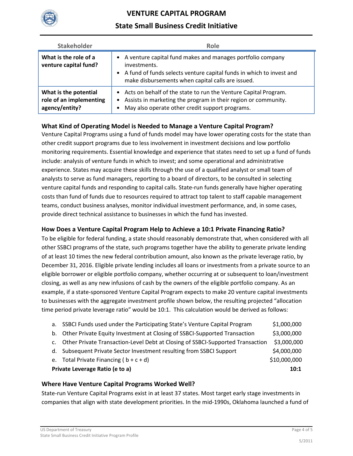

# VENTURE CAPITAL PROGRAM

# State Small Business Credit Initiative

| <b>Stakeholder</b>                                                 | Role                                                                                                                                                                                                                   |  |
|--------------------------------------------------------------------|------------------------------------------------------------------------------------------------------------------------------------------------------------------------------------------------------------------------|--|
| What is the role of a<br>venture capital fund?                     | A venture capital fund makes and manages portfolio company<br>$\bullet$<br>investments.<br>• A fund of funds selects venture capital funds in which to invest and<br>make disbursements when capital calls are issued. |  |
| What is the potential<br>role of an implementing<br>agency/entity? | • Acts on behalf of the state to run the Venture Capital Program.<br>• Assists in marketing the program in their region or community.<br>May also operate other credit support programs.<br>$\bullet$                  |  |

### What Kind of Operating Model is Needed to Manage a Venture Capital Program?

Venture Capital Programs using a fund of funds model may have lower operating costs for the state than other credit support programs due to less involvement in investment decisions and low portfolio monitoring requirements. Essential knowledge and experience that states need to set up a fund of funds include: analysis of venture funds in which to invest; and some operational and administrative experience. States may acquire these skills through the use of a qualified analyst or small team of analysts to serve as fund managers, reporting to a board of directors, to be consulted in selecting venture capital funds and responding to capital calls. State-run funds generally have higher operating costs than fund of funds due to resources required to attract top talent to staff capable management teams, conduct business analyses, monitor individual investment performance, and, in some cases, provide direct technical assistance to businesses in which the fund has invested.

### How Does a Venture Capital Program Help to Achieve a 10:1 Private Financing Ratio?

To be eligible for federal funding, a state should reasonably demonstrate that, when considered with all other SSBCI programs of the state, such programs together have the ability to generate private lending of at least 10 times the new federal contribution amount, also known as the private leverage ratio, by December 31, 2016. Eligible private lending includes all loans or investments from a private source to an eligible borrower or eligible portfolio company, whether occurring at or subsequent to loan/investment closing, as well as any new infusions of cash by the owners of the eligible portfolio company. As an example, if a state-sponsored Venture Capital Program expects to make 20 venture capital investments to businesses with the aggregate investment profile shown below, the resulting projected "allocation time period private leverage ratio" would be 10:1. This calculation would be derived as follows:

|                                 | a. SSBCI Funds used under the Participating State's Venture Capital Program       | \$1,000,000  |
|---------------------------------|-----------------------------------------------------------------------------------|--------------|
| b.                              | Other Private Equity Investment at Closing of SSBCI-Supported Transaction         | \$3,000,000  |
|                                 | c. Other Private Transaction-Level Debt at Closing of SSBCI-Supported Transaction | \$3,000,000  |
|                                 | d. Subsequent Private Sector Investment resulting from SSBCI Support              | \$4,000,000  |
|                                 | e. Total Private Financing ( $b + c + d$ )                                        | \$10,000,000 |
| Private Leverage Ratio (e to a) |                                                                                   |              |

### Where Have Venture Capital Programs Worked Well?

State-run Venture Capital Programs exist in at least 37 states. Most target early stage investments in companies that align with state development priorities. In the mid-1990s, Oklahoma launched a fund of